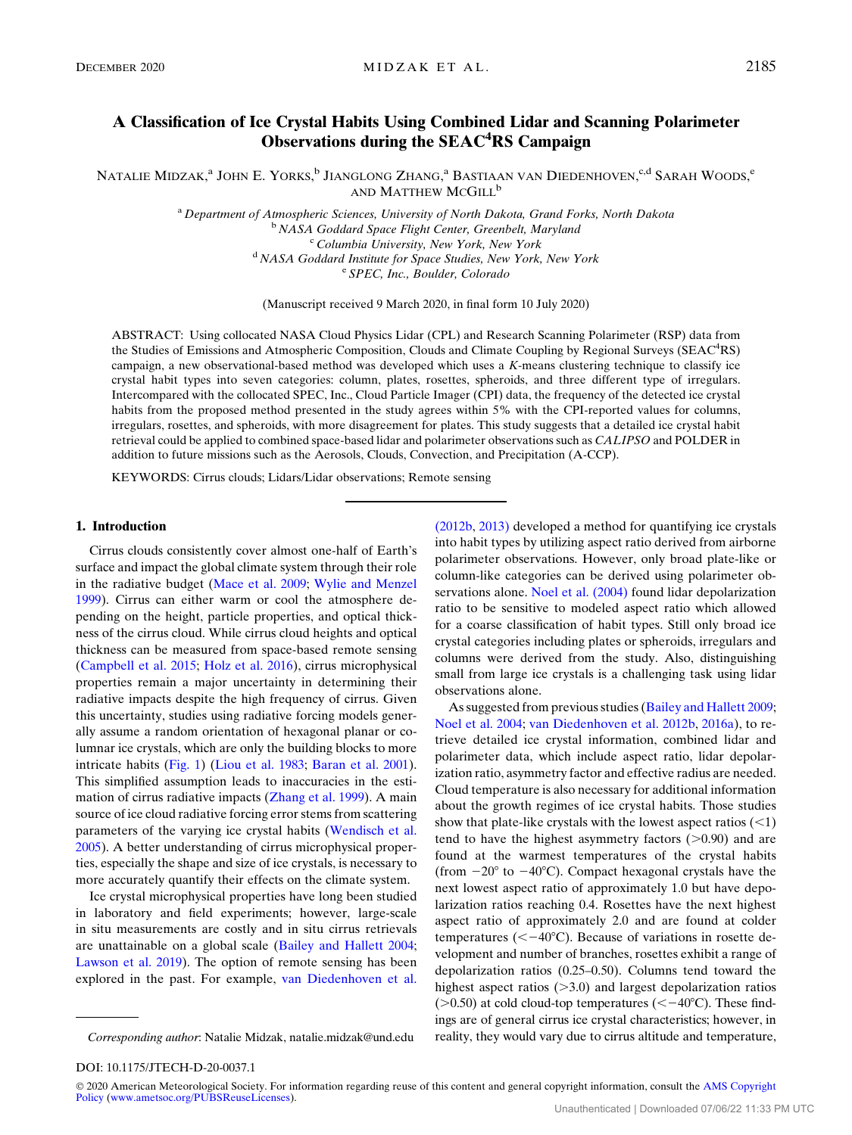# A Classification of Ice Crystal Habits Using Combined Lidar and Scanning Polarimeter Observations during the SEAC<sup>4</sup>RS Campaign

NATALIE MIDZAK,<sup>a</sup> JOHN E. YORKS,<sup>b</sup> JIANGLONG ZHANG,<sup>a</sup> BASTIAAN VAN DIEDENHOVEN,<sup>c,d</sup> SARAH WOODS,<sup>e</sup> AND MATTHEW MCGILL<sup>b</sup>

> <sup>a</sup> Department of Atmospheric Sciences, University of North Dakota, Grand Forks, North Dakota b NASA Goddard Space Flight Center, Greenbelt, Maryland <sup>c</sup> Columbia University, New York, New York<br><sup>d</sup> NASA Goddard Institute for Space Studies, New York, New York<br><sup>e</sup> SPEC, Inc., Boulder, Colorado

> > (Manuscript received 9 March 2020, in final form 10 July 2020)

ABSTRACT: Using collocated NASA Cloud Physics Lidar (CPL) and Research Scanning Polarimeter (RSP) data from the Studies of Emissions and Atmospheric Composition, Clouds and Climate Coupling by Regional Surveys (SEAC<sup>4</sup>RS) campaign, a new observational-based method was developed which uses a K-means clustering technique to classify ice crystal habit types into seven categories: column, plates, rosettes, spheroids, and three different type of irregulars. Intercompared with the collocated SPEC, Inc., Cloud Particle Imager (CPI) data, the frequency of the detected ice crystal habits from the proposed method presented in the study agrees within 5% with the CPI-reported values for columns, irregulars, rosettes, and spheroids, with more disagreement for plates. This study suggests that a detailed ice crystal habit retrieval could be applied to combined space-based lidar and polarimeter observations such as CALIPSO and POLDER in addition to future missions such as the Aerosols, Clouds, Convection, and Precipitation (A-CCP).

KEYWORDS: Cirrus clouds; Lidars/Lidar observations; Remote sensing

#### 1. Introduction

Cirrus clouds consistently cover almost one-half of Earth's surface and impact the global climate system through their role in the radiative budget [\(Mace et al. 2009;](#page-11-0) [Wylie and Menzel](#page-11-1) [1999](#page-11-1)). Cirrus can either warm or cool the atmosphere depending on the height, particle properties, and optical thickness of the cirrus cloud. While cirrus cloud heights and optical thickness can be measured from space-based remote sensing ([Campbell et al. 2015;](#page-10-0) [Holz et al. 2016\)](#page-10-1), cirrus microphysical properties remain a major uncertainty in determining their radiative impacts despite the high frequency of cirrus. Given this uncertainty, studies using radiative forcing models generally assume a random orientation of hexagonal planar or columnar ice crystals, which are only the building blocks to more intricate habits [\(Fig. 1\)](#page-1-0) [\(Liou et al. 1983;](#page-11-2) [Baran et al. 2001](#page-10-2)). This simplified assumption leads to inaccuracies in the estimation of cirrus radiative impacts [\(Zhang et al. 1999](#page-11-3)). A main source of ice cloud radiative forcing error stems from scattering parameters of the varying ice crystal habits [\(Wendisch et al.](#page-11-4) [2005](#page-11-4)). A better understanding of cirrus microphysical properties, especially the shape and size of ice crystals, is necessary to more accurately quantify their effects on the climate system.

Ice crystal microphysical properties have long been studied in laboratory and field experiments; however, large-scale in situ measurements are costly and in situ cirrus retrievals are unattainable on a global scale [\(Bailey and Hallett 2004](#page-10-3); [Lawson et al. 2019](#page-11-5)). The option of remote sensing has been explored in the past. For example, [van Diedenhoven et al.](#page-11-6)

[\(2012b](#page-11-6), [2013\)](#page-11-7) developed a method for quantifying ice crystals into habit types by utilizing aspect ratio derived from airborne polarimeter observations. However, only broad plate-like or column-like categories can be derived using polarimeter observations alone. [Noel et al. \(2004\)](#page-11-8) found lidar depolarization ratio to be sensitive to modeled aspect ratio which allowed for a coarse classification of habit types. Still only broad ice crystal categories including plates or spheroids, irregulars and columns were derived from the study. Also, distinguishing small from large ice crystals is a challenging task using lidar observations alone.

As suggested from previous studies ([Bailey and Hallett 2009](#page-10-4); [Noel et al. 2004;](#page-11-8) [van Diedenhoven et al. 2012b,](#page-11-6) [2016a](#page-11-9)), to retrieve detailed ice crystal information, combined lidar and polarimeter data, which include aspect ratio, lidar depolarization ratio, asymmetry factor and effective radius are needed. Cloud temperature is also necessary for additional information about the growth regimes of ice crystal habits. Those studies show that plate-like crystals with the lowest aspect ratios  $(\leq 1)$ tend to have the highest asymmetry factors  $(>0.90)$  and are found at the warmest temperatures of the crystal habits (from  $-20^{\circ}$  to  $-40^{\circ}$ C). Compact hexagonal crystals have the next lowest aspect ratio of approximately 1.0 but have depolarization ratios reaching 0.4. Rosettes have the next highest aspect ratio of approximately 2.0 and are found at colder temperatures ( $\leq -40^{\circ}$ C). Because of variations in rosette development and number of branches, rosettes exhibit a range of depolarization ratios (0.25–0.50). Columns tend toward the highest aspect ratios  $(>=3.0)$  and largest depolarization ratios ( $>0.50$ ) at cold cloud-top temperatures ( $<-40^{\circ}$ C). These findings are of general cirrus ice crystal characteristics; however, in Corresponding author: Natalie Midzak, [natalie.midzak@und.edu](mailto:natalie.midzak@und.edu) reality, they would vary due to cirrus altitude and temperature,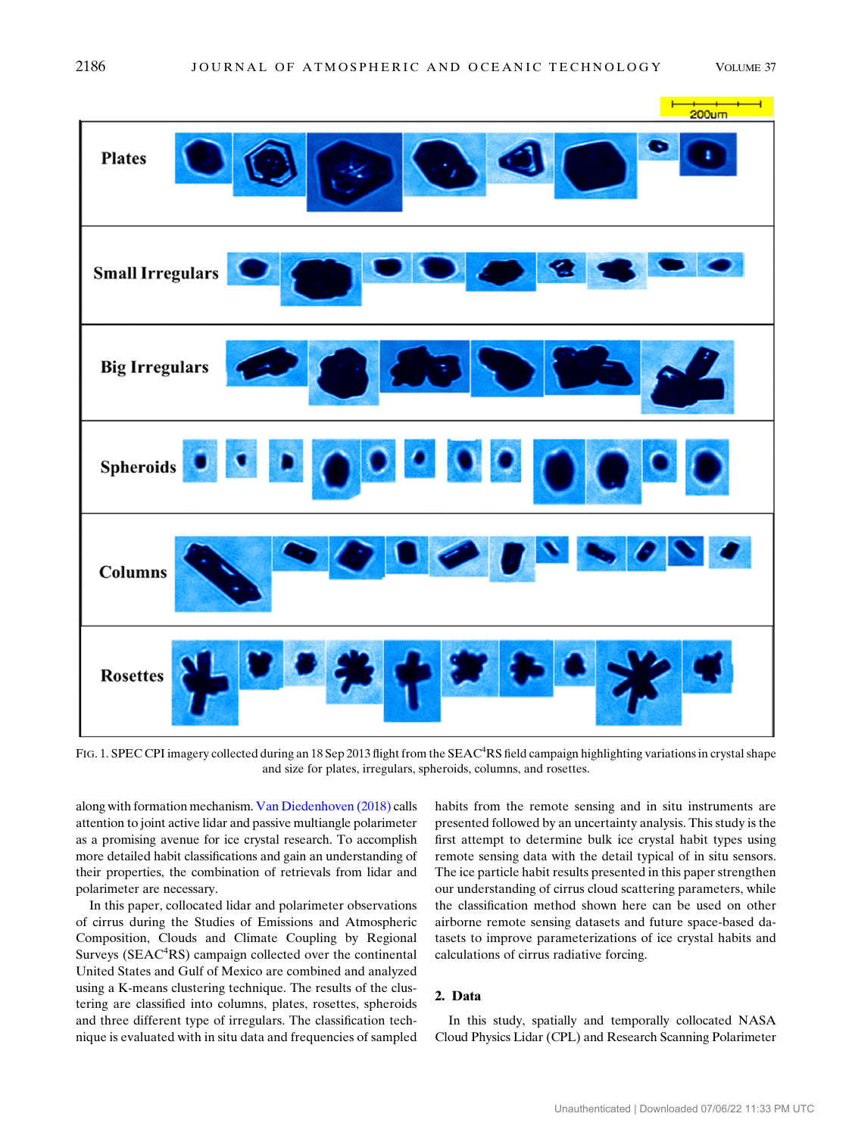<span id="page-1-0"></span>

FIG. 1. SPEC CPI imagery collected during an 18 Sep 2013 flight from the SEAC<sup>4</sup>RS field campaign highlighting variations in crystal shape and size for plates, irregulars, spheroids, columns, and rosettes.

along with formation mechanism. [Van Diedenhoven \(2018\)](#page-11-10) calls attention to joint active lidar and passive multiangle polarimeter as a promising avenue for ice crystal research. To accomplish more detailed habit classifications and gain an understanding of their properties, the combination of retrievals from lidar and polarimeter are necessary.

In this paper, collocated lidar and polarimeter observations of cirrus during the Studies of Emissions and Atmospheric Composition, Clouds and Climate Coupling by Regional Surveys (SEAC<sup>4</sup>RS) campaign collected over the continental United States and Gulf of Mexico are combined and analyzed using a K-means clustering technique. The results of the clustering are classified into columns, plates, rosettes, spheroids and three different type of irregulars. The classification technique is evaluated with in situ data and frequencies of sampled

habits from the remote sensing and in situ instruments are presented followed by an uncertainty analysis. This study is the first attempt to determine bulk ice crystal habit types using remote sensing data with the detail typical of in situ sensors. The ice particle habit results presented in this paper strengthen our understanding of cirrus cloud scattering parameters, while the classification method shown here can be used on other airborne remote sensing datasets and future space-based datasets to improve parameterizations of ice crystal habits and calculations of cirrus radiative forcing.

# 2. Data

In this study, spatially and temporally collocated NASA Cloud Physics Lidar (CPL) and Research Scanning Polarimeter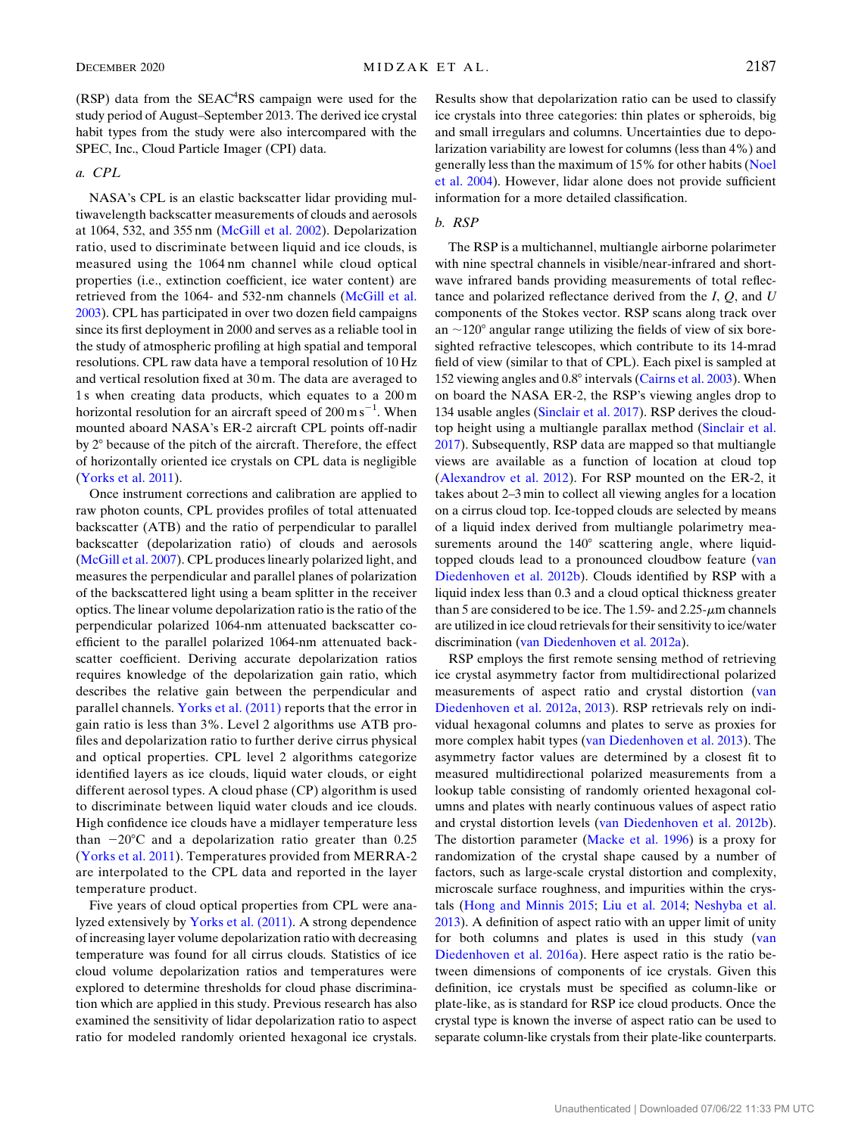$(RSP)$  data from the SEAC $4RS$  campaign were used for the study period of August–September 2013. The derived ice crystal habit types from the study were also intercompared with the SPEC, Inc., Cloud Particle Imager (CPI) data.

#### a. CPL

NASA's CPL is an elastic backscatter lidar providing multiwavelength backscatter measurements of clouds and aerosols at 1064, 532, and 355 nm [\(McGill et al. 2002](#page-11-11)). Depolarization ratio, used to discriminate between liquid and ice clouds, is measured using the 1064 nm channel while cloud optical properties (i.e., extinction coefficient, ice water content) are retrieved from the 1064- and 532-nm channels ([McGill et al.](#page-11-12) [2003](#page-11-12)). CPL has participated in over two dozen field campaigns since its first deployment in 2000 and serves as a reliable tool in the study of atmospheric profiling at high spatial and temporal resolutions. CPL raw data have a temporal resolution of 10 Hz and vertical resolution fixed at 30 m. The data are averaged to 1 s when creating data products, which equates to a 200 m horizontal resolution for an aircraft speed of  $200 \text{ m s}^{-1}$ . When mounted aboard NASA's ER-2 aircraft CPL points off-nadir by  $2^\circ$  because of the pitch of the aircraft. Therefore, the effect of horizontally oriented ice crystals on CPL data is negligible ([Yorks et al. 2011\)](#page-11-13).

Once instrument corrections and calibration are applied to raw photon counts, CPL provides profiles of total attenuated backscatter (ATB) and the ratio of perpendicular to parallel backscatter (depolarization ratio) of clouds and aerosols ([McGill et al. 2007](#page-11-14)). CPL produces linearly polarized light, and measures the perpendicular and parallel planes of polarization of the backscattered light using a beam splitter in the receiver optics. The linear volume depolarization ratio is the ratio of the perpendicular polarized 1064-nm attenuated backscatter coefficient to the parallel polarized 1064-nm attenuated backscatter coefficient. Deriving accurate depolarization ratios requires knowledge of the depolarization gain ratio, which describes the relative gain between the perpendicular and parallel channels. [Yorks et al. \(2011\)](#page-11-13) reports that the error in gain ratio is less than 3%. Level 2 algorithms use ATB profiles and depolarization ratio to further derive cirrus physical and optical properties. CPL level 2 algorithms categorize identified layers as ice clouds, liquid water clouds, or eight different aerosol types. A cloud phase (CP) algorithm is used to discriminate between liquid water clouds and ice clouds. High confidence ice clouds have a midlayer temperature less than  $-20^{\circ}$ C and a depolarization ratio greater than 0.25 ([Yorks et al. 2011\)](#page-11-13). Temperatures provided from MERRA-2 are interpolated to the CPL data and reported in the layer temperature product.

Five years of cloud optical properties from CPL were analyzed extensively by [Yorks et al. \(2011\).](#page-11-13) A strong dependence of increasing layer volume depolarization ratio with decreasing temperature was found for all cirrus clouds. Statistics of ice cloud volume depolarization ratios and temperatures were explored to determine thresholds for cloud phase discrimination which are applied in this study. Previous research has also examined the sensitivity of lidar depolarization ratio to aspect ratio for modeled randomly oriented hexagonal ice crystals.

Results show that depolarization ratio can be used to classify ice crystals into three categories: thin plates or spheroids, big and small irregulars and columns. Uncertainties due to depolarization variability are lowest for columns (less than 4%) and generally less than the maximum of 15% for other habits ([Noel](#page-11-8) [et al. 2004\)](#page-11-8). However, lidar alone does not provide sufficient information for a more detailed classification.

# b. RSP

The RSP is a multichannel, multiangle airborne polarimeter with nine spectral channels in visible/near-infrared and shortwave infrared bands providing measurements of total reflectance and polarized reflectance derived from the  $I, Q$ , and  $U$ components of the Stokes vector. RSP scans along track over an  $\sim$ 120 $^{\circ}$  angular range utilizing the fields of view of six boresighted refractive telescopes, which contribute to its 14-mrad field of view (similar to that of CPL). Each pixel is sampled at 152 viewing angles and 0.8° intervals ([Cairns et al. 2003](#page-10-5)). When on board the NASA ER-2, the RSP's viewing angles drop to 134 usable angles [\(Sinclair et al. 2017](#page-11-15)). RSP derives the cloudtop height using a multiangle parallax method ([Sinclair et al.](#page-11-15) [2017](#page-11-15)). Subsequently, RSP data are mapped so that multiangle views are available as a function of location at cloud top ([Alexandrov et al. 2012\)](#page-10-6). For RSP mounted on the ER-2, it takes about 2–3 min to collect all viewing angles for a location on a cirrus cloud top. Ice-topped clouds are selected by means of a liquid index derived from multiangle polarimetry measurements around the  $140^\circ$  scattering angle, where liquidtopped clouds lead to a pronounced cloudbow feature [\(van](#page-11-6) [Diedenhoven et al. 2012b](#page-11-6)). Clouds identified by RSP with a liquid index less than 0.3 and a cloud optical thickness greater than 5 are considered to be ice. The 1.59- and  $2.25$ - $\mu$ m channels are utilized in ice cloud retrievals for their sensitivity to ice/water discrimination [\(van Diedenhoven et al. 2012a](#page-11-16)).

RSP employs the first remote sensing method of retrieving ice crystal asymmetry factor from multidirectional polarized measurements of aspect ratio and crystal distortion [\(van](#page-11-16) [Diedenhoven et al. 2012a](#page-11-16), [2013](#page-11-7)). RSP retrievals rely on individual hexagonal columns and plates to serve as proxies for more complex habit types ([van Diedenhoven et al. 2013](#page-11-7)). The asymmetry factor values are determined by a closest fit to measured multidirectional polarized measurements from a lookup table consisting of randomly oriented hexagonal columns and plates with nearly continuous values of aspect ratio and crystal distortion levels ([van Diedenhoven et al. 2012b](#page-11-6)). The distortion parameter ([Macke et al. 1996](#page-11-17)) is a proxy for randomization of the crystal shape caused by a number of factors, such as large-scale crystal distortion and complexity, microscale surface roughness, and impurities within the crystals ([Hong and Minnis 2015;](#page-11-18) [Liu et al. 2014;](#page-11-19) [Neshyba et al.](#page-11-20) [2013](#page-11-20)). A definition of aspect ratio with an upper limit of unity for both columns and plates is used in this study [\(van](#page-11-9) [Diedenhoven et al. 2016a](#page-11-9)). Here aspect ratio is the ratio between dimensions of components of ice crystals. Given this definition, ice crystals must be specified as column-like or plate-like, as is standard for RSP ice cloud products. Once the crystal type is known the inverse of aspect ratio can be used to separate column-like crystals from their plate-like counterparts.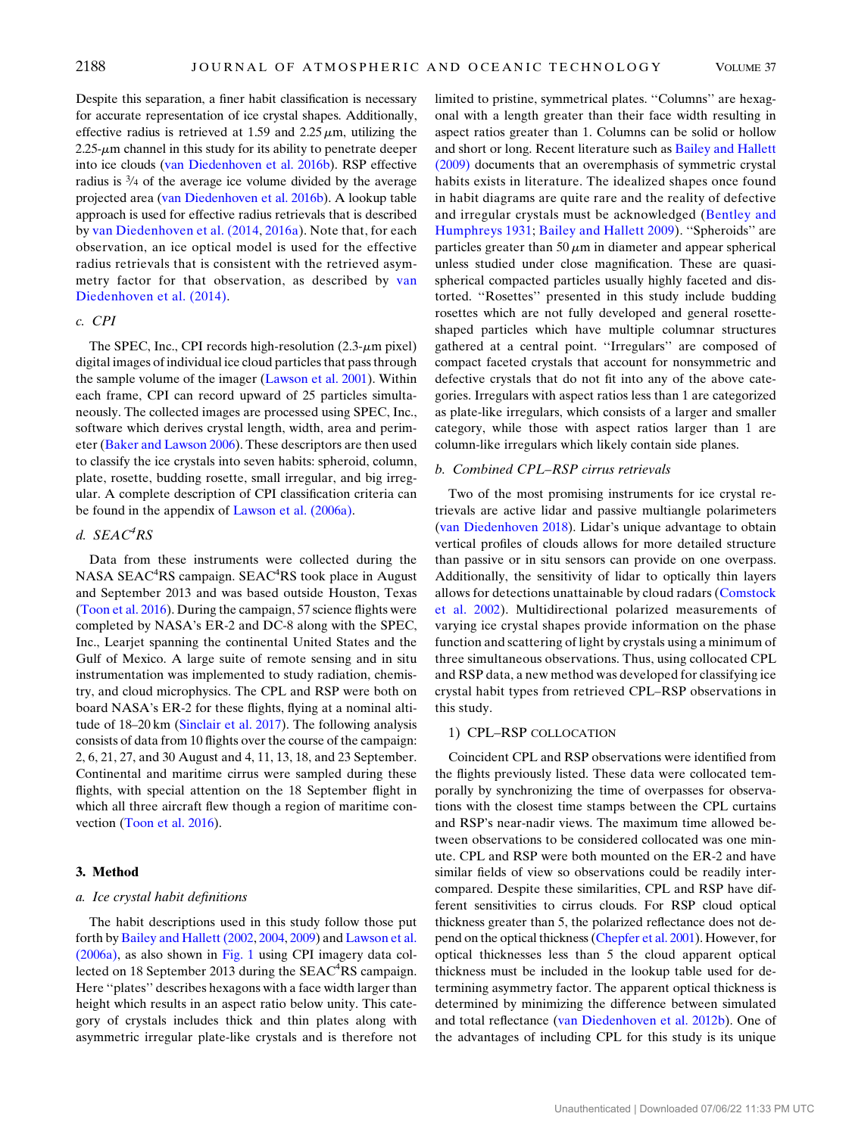Despite this separation, a finer habit classification is necessary for accurate representation of ice crystal shapes. Additionally, effective radius is retrieved at 1.59 and  $2.25 \mu m$ , utilizing the  $2.25 - \mu m$  channel in this study for its ability to penetrate deeper into ice clouds ([van Diedenhoven et al. 2016b](#page-11-21)). RSP effective radius is <sup>3</sup> /<sup>4</sup> of the average ice volume divided by the average projected area ([van Diedenhoven et al. 2016b](#page-11-21)). A lookup table approach is used for effective radius retrievals that is described by [van Diedenhoven et al. \(2014](#page-11-22), [2016a\)](#page-11-9). Note that, for each observation, an ice optical model is used for the effective radius retrievals that is consistent with the retrieved asymmetry factor for that observation, as described by [van](#page-11-22) [Diedenhoven et al. \(2014\).](#page-11-22)

#### c. CPI

The SPEC, Inc., CPI records high-resolution  $(2.3-\mu m)$  pixel) digital images of individual ice cloud particles that pass through the sample volume of the imager [\(Lawson et al. 2001\)](#page-11-23). Within each frame, CPI can record upward of 25 particles simultaneously. The collected images are processed using SPEC, Inc., software which derives crystal length, width, area and perimeter ([Baker and Lawson 2006](#page-10-7)). These descriptors are then used to classify the ice crystals into seven habits: spheroid, column, plate, rosette, budding rosette, small irregular, and big irregular. A complete description of CPI classification criteria can be found in the appendix of [Lawson et al. \(2006a\)](#page-11-24).

# d.  $SEAC<sup>4</sup>RS$

Data from these instruments were collected during the NASA SEAC<sup>4</sup>RS campaign. SEAC<sup>4</sup>RS took place in August and September 2013 and was based outside Houston, Texas ([Toon et al. 2016\)](#page-11-25). During the campaign, 57 science flights were completed by NASA's ER-2 and DC-8 along with the SPEC, Inc., Learjet spanning the continental United States and the Gulf of Mexico. A large suite of remote sensing and in situ instrumentation was implemented to study radiation, chemistry, and cloud microphysics. The CPL and RSP were both on board NASA's ER-2 for these flights, flying at a nominal altitude of 18–20 km [\(Sinclair et al. 2017](#page-11-15)). The following analysis consists of data from 10 flights over the course of the campaign: 2, 6, 21, 27, and 30 August and 4, 11, 13, 18, and 23 September. Continental and maritime cirrus were sampled during these flights, with special attention on the 18 September flight in which all three aircraft flew though a region of maritime convection ([Toon et al. 2016](#page-11-25)).

#### 3. Method

#### a. Ice crystal habit definitions

The habit descriptions used in this study follow those put forth by [Bailey and Hallett \(2002,](#page-10-8) [2004](#page-10-3), [2009\)](#page-10-4) and [Lawson et al.](#page-11-24) [\(2006a\)](#page-11-24), as also shown in [Fig. 1](#page-1-0) using CPI imagery data collected on 18 September 2013 during the SEAC<sup>4</sup>RS campaign. Here ''plates'' describes hexagons with a face width larger than height which results in an aspect ratio below unity. This category of crystals includes thick and thin plates along with asymmetric irregular plate-like crystals and is therefore not limited to pristine, symmetrical plates. ''Columns'' are hexagonal with a length greater than their face width resulting in aspect ratios greater than 1. Columns can be solid or hollow and short or long. Recent literature such as [Bailey and Hallett](#page-10-4) [\(2009\)](#page-10-4) documents that an overemphasis of symmetric crystal habits exists in literature. The idealized shapes once found in habit diagrams are quite rare and the reality of defective and irregular crystals must be acknowledged ([Bentley and](#page-10-9) [Humphreys 1931](#page-10-9); [Bailey and Hallett 2009\)](#page-10-4). ''Spheroids'' are particles greater than 50  $\mu$ m in diameter and appear spherical unless studied under close magnification. These are quasispherical compacted particles usually highly faceted and distorted. ''Rosettes'' presented in this study include budding rosettes which are not fully developed and general rosetteshaped particles which have multiple columnar structures gathered at a central point. ''Irregulars'' are composed of compact faceted crystals that account for nonsymmetric and defective crystals that do not fit into any of the above categories. Irregulars with aspect ratios less than 1 are categorized as plate-like irregulars, which consists of a larger and smaller category, while those with aspect ratios larger than 1 are column-like irregulars which likely contain side planes.

### b. Combined CPL–RSP cirrus retrievals

Two of the most promising instruments for ice crystal retrievals are active lidar and passive multiangle polarimeters ([van Diedenhoven 2018\)](#page-11-10). Lidar's unique advantage to obtain vertical profiles of clouds allows for more detailed structure than passive or in situ sensors can provide on one overpass. Additionally, the sensitivity of lidar to optically thin layers allows for detections unattainable by cloud radars ([Comstock](#page-10-10) [et al. 2002\)](#page-10-10). Multidirectional polarized measurements of varying ice crystal shapes provide information on the phase function and scattering of light by crystals using a minimum of three simultaneous observations. Thus, using collocated CPL and RSP data, a new method was developed for classifying ice crystal habit types from retrieved CPL–RSP observations in this study.

#### 1) CPL–RSP COLLOCATION

Coincident CPL and RSP observations were identified from the flights previously listed. These data were collocated temporally by synchronizing the time of overpasses for observations with the closest time stamps between the CPL curtains and RSP's near-nadir views. The maximum time allowed between observations to be considered collocated was one minute. CPL and RSP were both mounted on the ER-2 and have similar fields of view so observations could be readily intercompared. Despite these similarities, CPL and RSP have different sensitivities to cirrus clouds. For RSP cloud optical thickness greater than 5, the polarized reflectance does not depend on the optical thickness [\(Chepfer et al. 2001\)](#page-10-11). However, for optical thicknesses less than 5 the cloud apparent optical thickness must be included in the lookup table used for determining asymmetry factor. The apparent optical thickness is determined by minimizing the difference between simulated and total reflectance [\(van Diedenhoven et al. 2012b](#page-11-6)). One of the advantages of including CPL for this study is its unique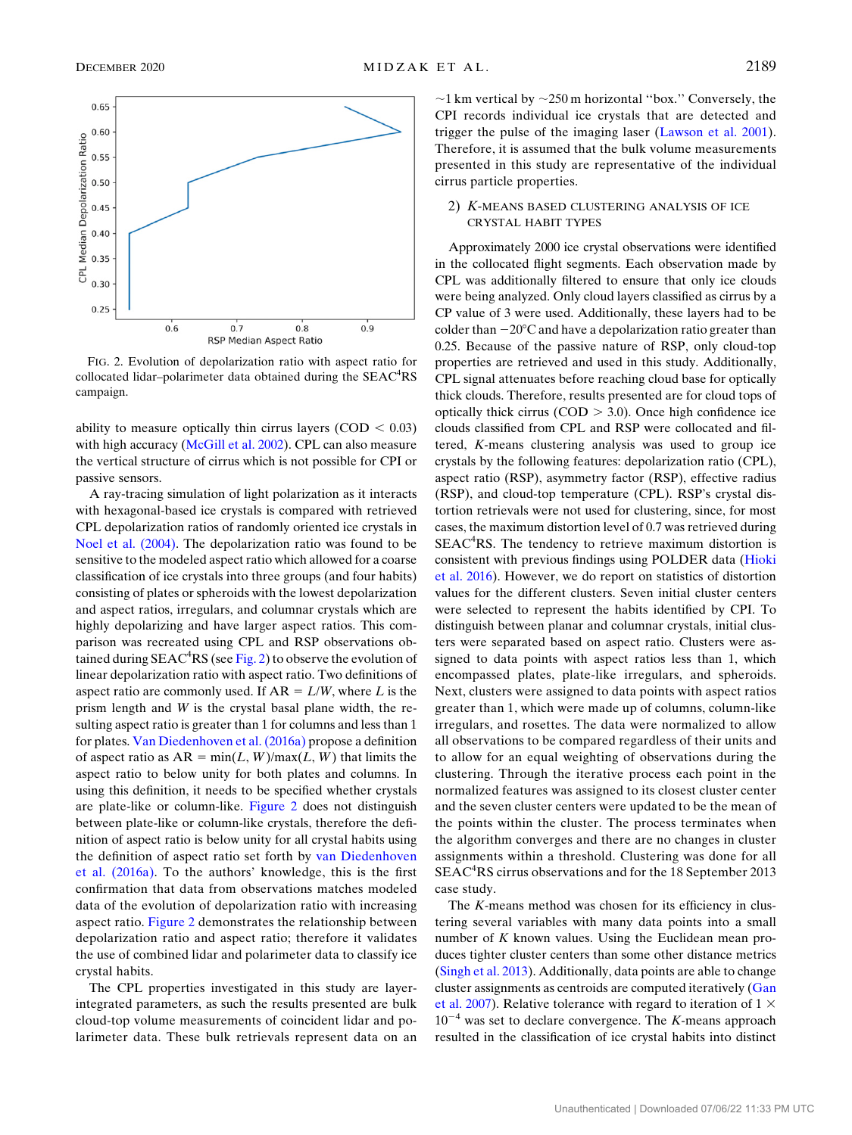<span id="page-4-0"></span>

FIG. 2. Evolution of depolarization ratio with aspect ratio for collocated lidar-polarimeter data obtained during the  $SEAC<sup>4</sup>RS$ campaign.

ability to measure optically thin cirrus layers  $(COD < 0.03)$ with high accuracy ([McGill et al. 2002\)](#page-11-11). CPL can also measure the vertical structure of cirrus which is not possible for CPI or passive sensors.

A ray-tracing simulation of light polarization as it interacts with hexagonal-based ice crystals is compared with retrieved CPL depolarization ratios of randomly oriented ice crystals in [Noel et al. \(2004\).](#page-11-8) The depolarization ratio was found to be sensitive to the modeled aspect ratio which allowed for a coarse classification of ice crystals into three groups (and four habits) consisting of plates or spheroids with the lowest depolarization and aspect ratios, irregulars, and columnar crystals which are highly depolarizing and have larger aspect ratios. This comparison was recreated using CPL and RSP observations obtained during  $SEAC<sup>4</sup>RS$  (see [Fig. 2\)](#page-4-0) to observe the evolution of linear depolarization ratio with aspect ratio. Two definitions of aspect ratio are commonly used. If  $AR = L/W$ , where L is the prism length and W is the crystal basal plane width, the resulting aspect ratio is greater than 1 for columns and less than 1 for plates. [Van Diedenhoven et al. \(2016a\)](#page-11-9) propose a definition of aspect ratio as  $AR = min(L, W)/max(L, W)$  that limits the aspect ratio to below unity for both plates and columns. In using this definition, it needs to be specified whether crystals are plate-like or column-like. [Figure 2](#page-4-0) does not distinguish between plate-like or column-like crystals, therefore the definition of aspect ratio is below unity for all crystal habits using the definition of aspect ratio set forth by [van Diedenhoven](#page-11-9) [et al. \(2016a\).](#page-11-9) To the authors' knowledge, this is the first confirmation that data from observations matches modeled data of the evolution of depolarization ratio with increasing aspect ratio. [Figure 2](#page-4-0) demonstrates the relationship between depolarization ratio and aspect ratio; therefore it validates the use of combined lidar and polarimeter data to classify ice crystal habits.

The CPL properties investigated in this study are layerintegrated parameters, as such the results presented are bulk cloud-top volume measurements of coincident lidar and polarimeter data. These bulk retrievals represent data on an  $\sim$ 1 km vertical by  $\sim$ 250 m horizontal "box." Conversely, the CPI records individual ice crystals that are detected and trigger the pulse of the imaging laser ([Lawson et al. 2001](#page-11-23)). Therefore, it is assumed that the bulk volume measurements presented in this study are representative of the individual cirrus particle properties.

# 2) K-MEANS BASED CLUSTERING ANALYSIS OF ICE CRYSTAL HABIT TYPES

Approximately 2000 ice crystal observations were identified in the collocated flight segments. Each observation made by CPL was additionally filtered to ensure that only ice clouds were being analyzed. Only cloud layers classified as cirrus by a CP value of 3 were used. Additionally, these layers had to be colder than  $-20^{\circ}$ C and have a depolarization ratio greater than 0.25. Because of the passive nature of RSP, only cloud-top properties are retrieved and used in this study. Additionally, CPL signal attenuates before reaching cloud base for optically thick clouds. Therefore, results presented are for cloud tops of optically thick cirrus ( $\text{COD} > 3.0$ ). Once high confidence ice clouds classified from CPL and RSP were collocated and filtered, K-means clustering analysis was used to group ice crystals by the following features: depolarization ratio (CPL), aspect ratio (RSP), asymmetry factor (RSP), effective radius (RSP), and cloud-top temperature (CPL). RSP's crystal distortion retrievals were not used for clustering, since, for most cases, the maximum distortion level of 0.7 was retrieved during  $SEAC<sup>4</sup>RS$ . The tendency to retrieve maximum distortion is consistent with previous findings using POLDER data [\(Hioki](#page-10-12) [et al. 2016\)](#page-10-12). However, we do report on statistics of distortion values for the different clusters. Seven initial cluster centers were selected to represent the habits identified by CPI. To distinguish between planar and columnar crystals, initial clusters were separated based on aspect ratio. Clusters were assigned to data points with aspect ratios less than 1, which encompassed plates, plate-like irregulars, and spheroids. Next, clusters were assigned to data points with aspect ratios greater than 1, which were made up of columns, column-like irregulars, and rosettes. The data were normalized to allow all observations to be compared regardless of their units and to allow for an equal weighting of observations during the clustering. Through the iterative process each point in the normalized features was assigned to its closest cluster center and the seven cluster centers were updated to be the mean of the points within the cluster. The process terminates when the algorithm converges and there are no changes in cluster assignments within a threshold. Clustering was done for all SEAC<sup>4</sup>RS cirrus observations and for the 18 September 2013 case study.

The K-means method was chosen for its efficiency in clustering several variables with many data points into a small number of  $K$  known values. Using the Euclidean mean produces tighter cluster centers than some other distance metrics ([Singh et al. 2013](#page-11-26)). Additionally, data points are able to change cluster assignments as centroids are computed iteratively ([Gan](#page-10-13) [et al. 2007\)](#page-10-13). Relative tolerance with regard to iteration of  $1 \times$  $10^{-4}$  was set to declare convergence. The K-means approach resulted in the classification of ice crystal habits into distinct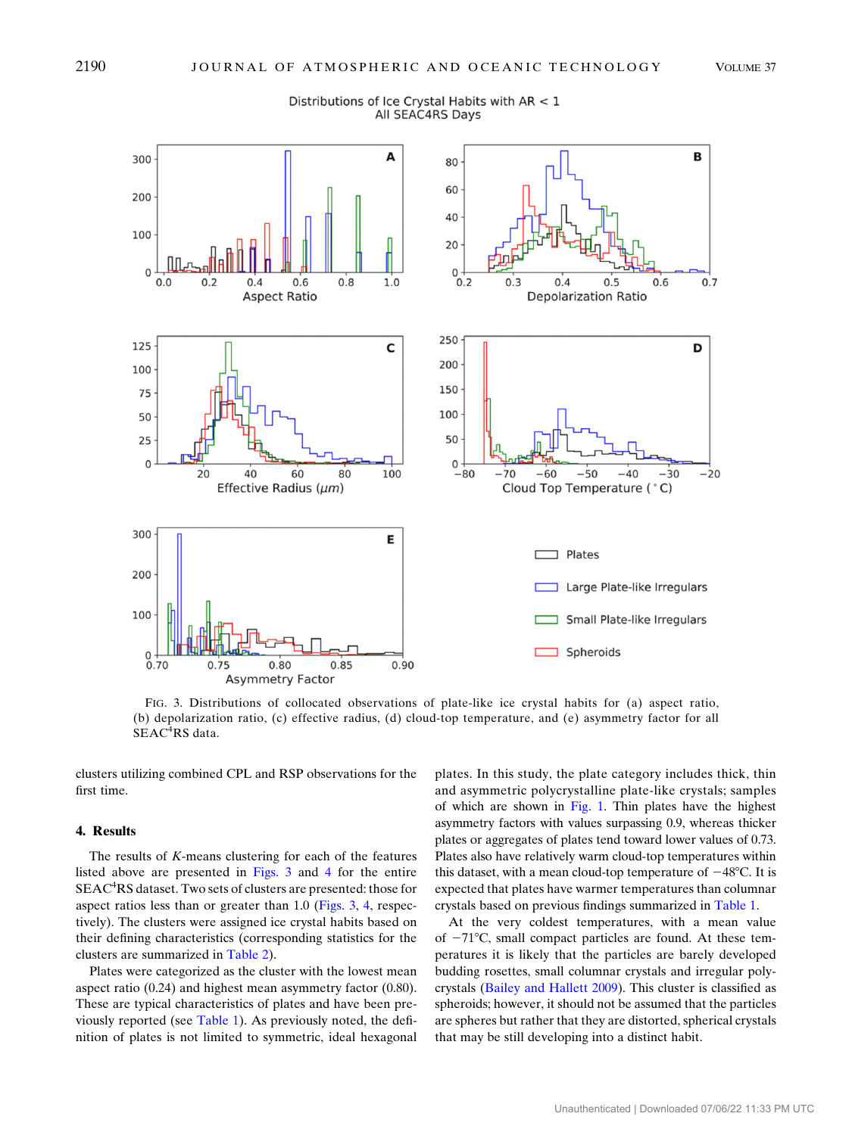<span id="page-5-0"></span>

Distributions of Ice Crystal Habits with AR < 1 All SEAC4RS Days

FIG. 3. Distributions of collocated observations of plate-like ice crystal habits for (a) aspect ratio, (b) depolarization ratio, (c) effective radius, (d) cloud-top temperature, and (e) asymmetry factor for all  $SEAC<sup>4</sup>RS data.$ 

clusters utilizing combined CPL and RSP observations for the first time.

#### 4. Results

The results of  $K$ -means clustering for each of the features listed above are presented in [Figs. 3](#page-5-0) and [4](#page-6-0) for the entire SEAC<sup>4</sup>RS dataset. Two sets of clusters are presented: those for aspect ratios less than or greater than 1.0 [\(Figs. 3,](#page-5-0) [4](#page-6-0), respectively). The clusters were assigned ice crystal habits based on their defining characteristics (corresponding statistics for the clusters are summarized in [Table 2\)](#page-7-0).

Plates were categorized as the cluster with the lowest mean aspect ratio (0.24) and highest mean asymmetry factor (0.80). These are typical characteristics of plates and have been previously reported (see [Table 1](#page-6-1)). As previously noted, the definition of plates is not limited to symmetric, ideal hexagonal plates. In this study, the plate category includes thick, thin and asymmetric polycrystalline plate-like crystals; samples of which are shown in [Fig. 1.](#page-1-0) Thin plates have the highest asymmetry factors with values surpassing 0.9, whereas thicker plates or aggregates of plates tend toward lower values of 0.73. Plates also have relatively warm cloud-top temperatures within this dataset, with a mean cloud-top temperature of  $-48^{\circ}$ C. It is expected that plates have warmer temperatures than columnar crystals based on previous findings summarized in [Table 1](#page-6-1).

At the very coldest temperatures, with a mean value of  $-71^{\circ}$ C, small compact particles are found. At these temperatures it is likely that the particles are barely developed budding rosettes, small columnar crystals and irregular polycrystals ([Bailey and Hallett 2009](#page-10-4)). This cluster is classified as spheroids; however, it should not be assumed that the particles are spheres but rather that they are distorted, spherical crystals that may be still developing into a distinct habit.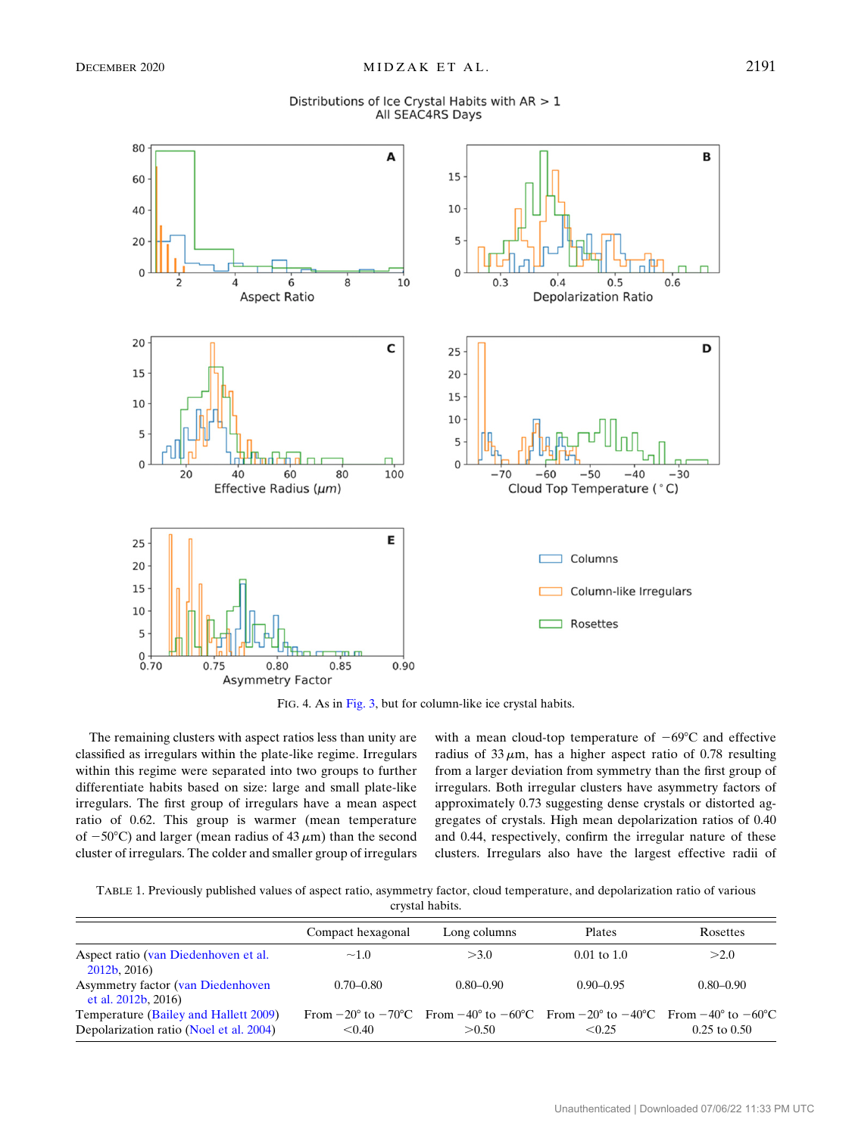

<span id="page-6-0"></span>

FIG. 4. As in [Fig. 3,](#page-5-0) but for column-like ice crystal habits.

The remaining clusters with aspect ratios less than unity are classified as irregulars within the plate-like regime. Irregulars within this regime were separated into two groups to further differentiate habits based on size: large and small plate-like irregulars. The first group of irregulars have a mean aspect ratio of 0.62. This group is warmer (mean temperature of  $-50^{\circ}$ C) and larger (mean radius of 43  $\mu$ m) than the second cluster of irregulars. The colder and smaller group of irregulars with a mean cloud-top temperature of  $-69^{\circ}$ C and effective radius of  $33 \mu$ m, has a higher aspect ratio of 0.78 resulting from a larger deviation from symmetry than the first group of irregulars. Both irregular clusters have asymmetry factors of approximately 0.73 suggesting dense crystals or distorted aggregates of crystals. High mean depolarization ratios of 0.40 and 0.44, respectively, confirm the irregular nature of these clusters. Irregulars also have the largest effective radii of

<span id="page-6-1"></span>TABLE 1. Previously published values of aspect ratio, asymmetry factor, cloud temperature, and depolarization ratio of various crystal habits.

|                                                                                  | Compact hexagonal | Long columns                                                                                                                                                      | <b>Plates</b>   | Rosettes         |
|----------------------------------------------------------------------------------|-------------------|-------------------------------------------------------------------------------------------------------------------------------------------------------------------|-----------------|------------------|
| Aspect ratio (van Diedenhoven et al.<br>2012b, 2016                              | $\sim$ 1.0        | >3.0                                                                                                                                                              | $0.01$ to $1.0$ | >2.0             |
| <b>Asymmetry factor (van Diedenhoven</b> )<br>et al. $2012b$ , $2016$ )          | $0.70 - 0.80$     | $0.80 - 0.90$                                                                                                                                                     | $0.90 - 0.95$   | $0.80 - 0.90$    |
| Temperature (Bailey and Hallett 2009)<br>Depolarization ratio (Noel et al. 2004) | < 0.40            | From $-20^{\circ}$ to $-70^{\circ}$ C From $-40^{\circ}$ to $-60^{\circ}$ C From $-20^{\circ}$ to $-40^{\circ}$ C From $-40^{\circ}$ to $-60^{\circ}$ C<br>> 0.50 | $\leq 0.25$     | $0.25$ to $0.50$ |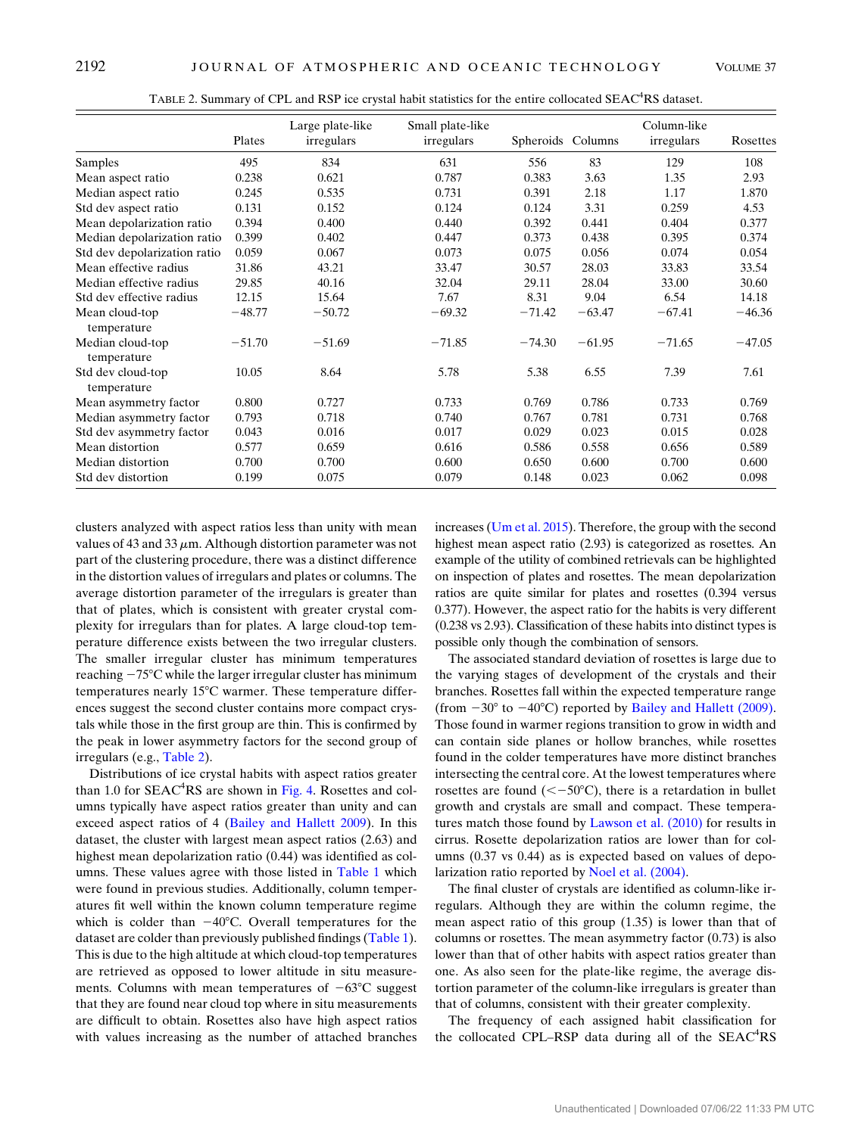<span id="page-7-0"></span>

|                                  | Plates   | Large plate-like<br>irregulars | Small plate-like<br>irregulars |          | Spheroids Columns | Column-like<br>irregulars | Rosettes |
|----------------------------------|----------|--------------------------------|--------------------------------|----------|-------------------|---------------------------|----------|
| Samples                          | 495      | 834                            | 631                            | 556      | 83                | 129                       | 108      |
| Mean aspect ratio                | 0.238    | 0.621                          | 0.787                          | 0.383    | 3.63              | 1.35                      | 2.93     |
| Median aspect ratio              | 0.245    | 0.535                          | 0.731                          | 0.391    | 2.18              | 1.17                      | 1.870    |
| Std dev aspect ratio             | 0.131    | 0.152                          | 0.124                          | 0.124    | 3.31              | 0.259                     | 4.53     |
| Mean depolarization ratio        | 0.394    | 0.400                          | 0.440                          | 0.392    | 0.441             | 0.404                     | 0.377    |
| Median depolarization ratio      | 0.399    | 0.402                          | 0.447                          | 0.373    | 0.438             | 0.395                     | 0.374    |
| Std dev depolarization ratio     | 0.059    | 0.067                          | 0.073                          | 0.075    | 0.056             | 0.074                     | 0.054    |
| Mean effective radius            | 31.86    | 43.21                          | 33.47                          | 30.57    | 28.03             | 33.83                     | 33.54    |
| Median effective radius          | 29.85    | 40.16                          | 32.04                          | 29.11    | 28.04             | 33.00                     | 30.60    |
| Std dev effective radius         | 12.15    | 15.64                          | 7.67                           | 8.31     | 9.04              | 6.54                      | 14.18    |
| Mean cloud-top<br>temperature    | $-48.77$ | $-50.72$                       | $-69.32$                       | $-71.42$ | $-63.47$          | $-67.41$                  | $-46.36$ |
| Median cloud-top<br>temperature  | $-51.70$ | $-51.69$                       | $-71.85$                       | $-74.30$ | $-61.95$          | $-71.65$                  | $-47.05$ |
| Std dev cloud-top<br>temperature | 10.05    | 8.64                           | 5.78                           | 5.38     | 6.55              | 7.39                      | 7.61     |
| Mean asymmetry factor            | 0.800    | 0.727                          | 0.733                          | 0.769    | 0.786             | 0.733                     | 0.769    |
| Median asymmetry factor          | 0.793    | 0.718                          | 0.740                          | 0.767    | 0.781             | 0.731                     | 0.768    |
| Std dev asymmetry factor         | 0.043    | 0.016                          | 0.017                          | 0.029    | 0.023             | 0.015                     | 0.028    |
| Mean distortion                  | 0.577    | 0.659                          | 0.616                          | 0.586    | 0.558             | 0.656                     | 0.589    |
| Median distortion                | 0.700    | 0.700                          | 0.600                          | 0.650    | 0.600             | 0.700                     | 0.600    |
| Std dev distortion               | 0.199    | 0.075                          | 0.079                          | 0.148    | 0.023             | 0.062                     | 0.098    |

TABLE 2. Summary of CPL and RSP ice crystal habit statistics for the entire collocated SEAC<sup>4</sup>RS dataset.

clusters analyzed with aspect ratios less than unity with mean values of 43 and 33  $\mu$ m. Although distortion parameter was not part of the clustering procedure, there was a distinct difference in the distortion values of irregulars and plates or columns. The average distortion parameter of the irregulars is greater than that of plates, which is consistent with greater crystal complexity for irregulars than for plates. A large cloud-top temperature difference exists between the two irregular clusters. The smaller irregular cluster has minimum temperatures reaching  $-75^{\circ}$ C while the larger irregular cluster has minimum temperatures nearly  $15^{\circ}$ C warmer. These temperature differences suggest the second cluster contains more compact crystals while those in the first group are thin. This is confirmed by the peak in lower asymmetry factors for the second group of irregulars (e.g., [Table 2](#page-7-0)).

Distributions of ice crystal habits with aspect ratios greater than 1.0 for SEAC<sup>4</sup>RS are shown in [Fig. 4](#page-6-0). Rosettes and columns typically have aspect ratios greater than unity and can exceed aspect ratios of 4 ([Bailey and Hallett 2009\)](#page-10-4). In this dataset, the cluster with largest mean aspect ratios (2.63) and highest mean depolarization ratio (0.44) was identified as columns. These values agree with those listed in [Table 1](#page-6-1) which were found in previous studies. Additionally, column temperatures fit well within the known column temperature regime which is colder than  $-40^{\circ}$ C. Overall temperatures for the dataset are colder than previously published findings [\(Table 1](#page-6-1)). This is due to the high altitude at which cloud-top temperatures are retrieved as opposed to lower altitude in situ measurements. Columns with mean temperatures of  $-63^{\circ}$ C suggest that they are found near cloud top where in situ measurements are difficult to obtain. Rosettes also have high aspect ratios with values increasing as the number of attached branches increases [\(Um et al. 2015](#page-11-27)). Therefore, the group with the second highest mean aspect ratio (2.93) is categorized as rosettes. An example of the utility of combined retrievals can be highlighted on inspection of plates and rosettes. The mean depolarization ratios are quite similar for plates and rosettes (0.394 versus 0.377). However, the aspect ratio for the habits is very different (0.238 vs 2.93). Classification of these habits into distinct types is possible only though the combination of sensors.

The associated standard deviation of rosettes is large due to the varying stages of development of the crystals and their branches. Rosettes fall within the expected temperature range (from  $-30^{\circ}$  to  $-40^{\circ}$ C) reported by [Bailey and Hallett \(2009\)](#page-10-4). Those found in warmer regions transition to grow in width and can contain side planes or hollow branches, while rosettes found in the colder temperatures have more distinct branches intersecting the central core. At the lowest temperatures where rosettes are found  $(<-50^{\circ}C$ ), there is a retardation in bullet growth and crystals are small and compact. These temperatures match those found by [Lawson et al. \(2010\)](#page-11-28) for results in cirrus. Rosette depolarization ratios are lower than for columns (0.37 vs 0.44) as is expected based on values of depolarization ratio reported by [Noel et al. \(2004\)](#page-11-8).

The final cluster of crystals are identified as column-like irregulars. Although they are within the column regime, the mean aspect ratio of this group (1.35) is lower than that of columns or rosettes. The mean asymmetry factor (0.73) is also lower than that of other habits with aspect ratios greater than one. As also seen for the plate-like regime, the average distortion parameter of the column-like irregulars is greater than that of columns, consistent with their greater complexity.

The frequency of each assigned habit classification for the collocated CPL-RSP data during all of the SEAC<sup>4</sup>RS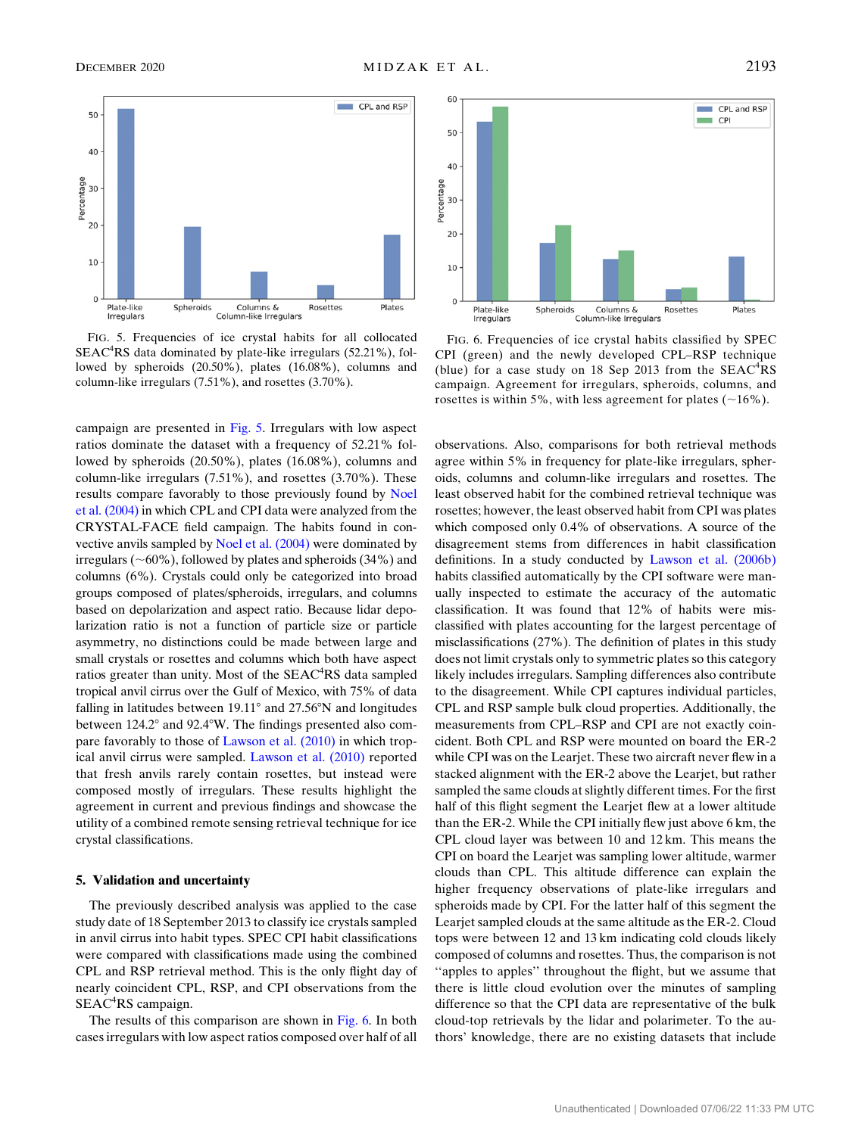<span id="page-8-0"></span>

FIG. 5. Frequencies of ice crystal habits for all collocated SEAC<sup>4</sup>RS data dominated by plate-like irregulars (52.21%), followed by spheroids (20.50%), plates (16.08%), columns and column-like irregulars (7.51%), and rosettes (3.70%).

campaign are presented in [Fig. 5.](#page-8-0) Irregulars with low aspect ratios dominate the dataset with a frequency of 52.21% followed by spheroids (20.50%), plates (16.08%), columns and column-like irregulars (7.51%), and rosettes (3.70%). These results compare favorably to those previously found by [Noel](#page-11-8) [et al. \(2004\)](#page-11-8) in which CPL and CPI data were analyzed from the CRYSTAL-FACE field campaign. The habits found in convective anvils sampled by [Noel et al. \(2004\)](#page-11-8) were dominated by irregulars ( $\sim$ 60%), followed by plates and spheroids (34%) and columns (6%). Crystals could only be categorized into broad groups composed of plates/spheroids, irregulars, and columns based on depolarization and aspect ratio. Because lidar depolarization ratio is not a function of particle size or particle asymmetry, no distinctions could be made between large and small crystals or rosettes and columns which both have aspect ratios greater than unity. Most of the SEAC<sup>4</sup>RS data sampled tropical anvil cirrus over the Gulf of Mexico, with 75% of data falling in latitudes between  $19.11^{\circ}$  and  $27.56^{\circ}$ N and longitudes between 124.2° and 92.4°W. The findings presented also compare favorably to those of [Lawson et al. \(2010\)](#page-11-28) in which tropical anvil cirrus were sampled. [Lawson et al. \(2010\)](#page-11-28) reported that fresh anvils rarely contain rosettes, but instead were composed mostly of irregulars. These results highlight the agreement in current and previous findings and showcase the utility of a combined remote sensing retrieval technique for ice crystal classifications.

### 5. Validation and uncertainty

The previously described analysis was applied to the case study date of 18 September 2013 to classify ice crystals sampled in anvil cirrus into habit types. SPEC CPI habit classifications were compared with classifications made using the combined CPL and RSP retrieval method. This is the only flight day of nearly coincident CPL, RSP, and CPI observations from the SEAC<sup>4</sup>RS campaign.

The results of this comparison are shown in [Fig. 6](#page-8-1). In both cases irregulars with low aspect ratios composed over half of all

<span id="page-8-1"></span>

FIG. 6. Frequencies of ice crystal habits classified by SPEC CPI (green) and the newly developed CPL–RSP technique (blue) for a case study on 18 Sep 2013 from the  $SEAC<sup>4</sup>RS$ campaign. Agreement for irregulars, spheroids, columns, and rosettes is within 5%, with less agreement for plates  $(\sim 16\%)$ .

observations. Also, comparisons for both retrieval methods agree within 5% in frequency for plate-like irregulars, spheroids, columns and column-like irregulars and rosettes. The least observed habit for the combined retrieval technique was rosettes; however, the least observed habit from CPI was plates which composed only 0.4% of observations. A source of the disagreement stems from differences in habit classification definitions. In a study conducted by [Lawson et al. \(2006b\)](#page-11-29) habits classified automatically by the CPI software were manually inspected to estimate the accuracy of the automatic classification. It was found that 12% of habits were misclassified with plates accounting for the largest percentage of misclassifications (27%). The definition of plates in this study does not limit crystals only to symmetric plates so this category likely includes irregulars. Sampling differences also contribute to the disagreement. While CPI captures individual particles, CPL and RSP sample bulk cloud properties. Additionally, the measurements from CPL–RSP and CPI are not exactly coincident. Both CPL and RSP were mounted on board the ER-2 while CPI was on the Learjet. These two aircraft never flew in a stacked alignment with the ER-2 above the Learjet, but rather sampled the same clouds at slightly different times. For the first half of this flight segment the Learjet flew at a lower altitude than the ER-2. While the CPI initially flew just above 6 km, the CPL cloud layer was between 10 and 12 km. This means the CPI on board the Learjet was sampling lower altitude, warmer clouds than CPL. This altitude difference can explain the higher frequency observations of plate-like irregulars and spheroids made by CPI. For the latter half of this segment the Learjet sampled clouds at the same altitude as the ER-2. Cloud tops were between 12 and 13 km indicating cold clouds likely composed of columns and rosettes. Thus, the comparison is not ''apples to apples'' throughout the flight, but we assume that there is little cloud evolution over the minutes of sampling difference so that the CPI data are representative of the bulk cloud-top retrievals by the lidar and polarimeter. To the authors' knowledge, there are no existing datasets that include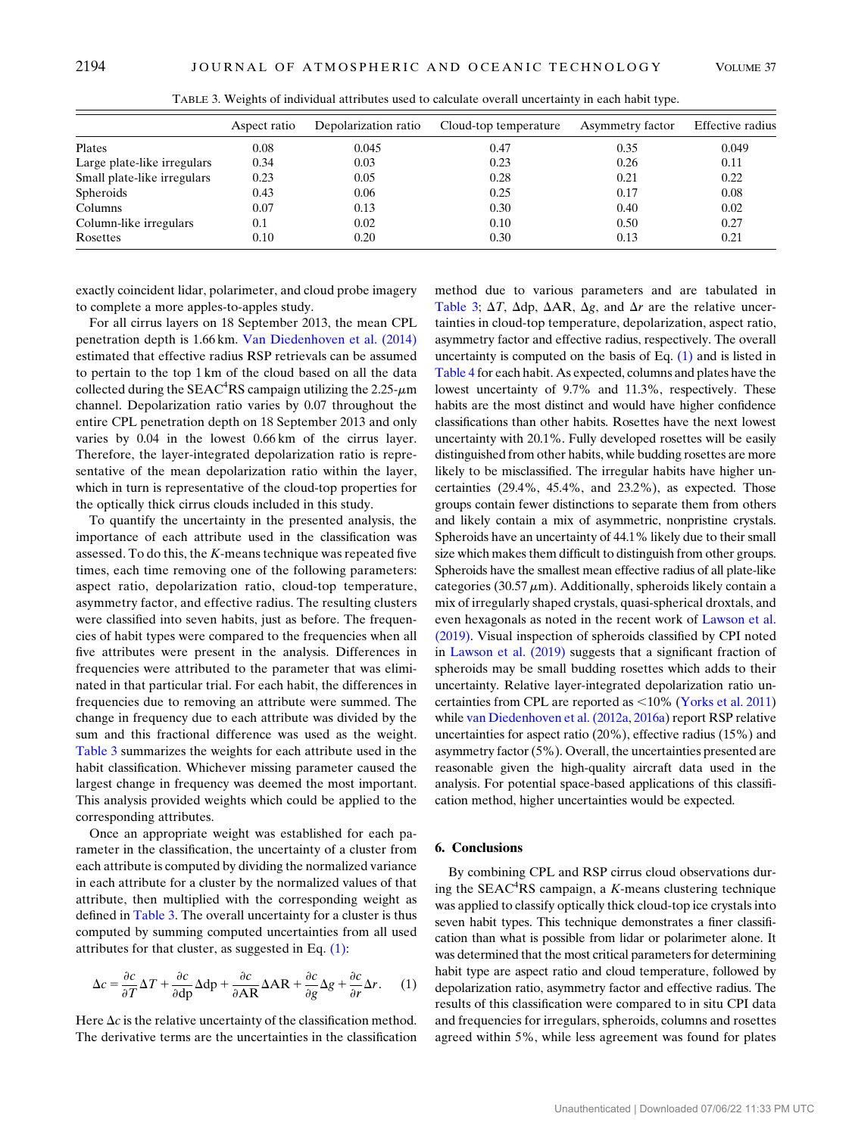<span id="page-9-0"></span>

|                             | Aspect ratio | Depolarization ratio | Cloud-top temperature | Asymmetry factor | Effective radius |
|-----------------------------|--------------|----------------------|-----------------------|------------------|------------------|
| Plates                      | 0.08         | 0.045                | 0.47                  | 0.35             | 0.049            |
| Large plate-like irregulars | 0.34         | 0.03                 | 0.23                  | 0.26             | 0.11             |
| Small plate-like irregulars | 0.23         | 0.05                 | 0.28                  | 0.21             | 0.22             |
| Spheroids                   | 0.43         | 0.06                 | 0.25                  | 0.17             | 0.08             |
| Columns                     | 0.07         | 0.13                 | 0.30                  | 0.40             | 0.02             |
| Column-like irregulars      | 0.1          | 0.02                 | 0.10                  | 0.50             | 0.27             |
| Rosettes                    | 0.10         | 0.20                 | 0.30                  | 0.13             | 0.21             |

TABLE 3. Weights of individual attributes used to calculate overall uncertainty in each habit type.

exactly coincident lidar, polarimeter, and cloud probe imagery to complete a more apples-to-apples study.

For all cirrus layers on 18 September 2013, the mean CPL penetration depth is 1.66 km. [Van Diedenhoven et al. \(2014\)](#page-11-22) estimated that effective radius RSP retrievals can be assumed to pertain to the top 1 km of the cloud based on all the data collected during the SEAC<sup>4</sup>RS campaign utilizing the 2.25- $\mu$ m channel. Depolarization ratio varies by 0.07 throughout the entire CPL penetration depth on 18 September 2013 and only varies by 0.04 in the lowest 0.66 km of the cirrus layer. Therefore, the layer-integrated depolarization ratio is representative of the mean depolarization ratio within the layer, which in turn is representative of the cloud-top properties for the optically thick cirrus clouds included in this study.

To quantify the uncertainty in the presented analysis, the importance of each attribute used in the classification was assessed. To do this, the K-means technique was repeated five times, each time removing one of the following parameters: aspect ratio, depolarization ratio, cloud-top temperature, asymmetry factor, and effective radius. The resulting clusters were classified into seven habits, just as before. The frequencies of habit types were compared to the frequencies when all five attributes were present in the analysis. Differences in frequencies were attributed to the parameter that was eliminated in that particular trial. For each habit, the differences in frequencies due to removing an attribute were summed. The change in frequency due to each attribute was divided by the sum and this fractional difference was used as the weight. [Table 3](#page-9-0) summarizes the weights for each attribute used in the habit classification. Whichever missing parameter caused the largest change in frequency was deemed the most important. This analysis provided weights which could be applied to the corresponding attributes.

Once an appropriate weight was established for each parameter in the classification, the uncertainty of a cluster from each attribute is computed by dividing the normalized variance in each attribute for a cluster by the normalized values of that attribute, then multiplied with the corresponding weight as defined in [Table 3](#page-9-0). The overall uncertainty for a cluster is thus computed by summing computed uncertainties from all used attributes for that cluster, as suggested in Eq.  $(1)$ :

<span id="page-9-1"></span>
$$
\Delta c = \frac{\partial c}{\partial T} \Delta T + \frac{\partial c}{\partial \text{dp}} \Delta \text{dp} + \frac{\partial c}{\partial \text{AR}} \Delta \text{AR} + \frac{\partial c}{\partial g} \Delta g + \frac{\partial c}{\partial r} \Delta r. \tag{1}
$$

Here  $\Delta c$  is the relative uncertainty of the classification method. The derivative terms are the uncertainties in the classification method due to various parameters and are tabulated in [Table 3](#page-9-0);  $\Delta T$ ,  $\Delta dp$ ,  $\Delta AR$ ,  $\Delta g$ , and  $\Delta r$  are the relative uncertainties in cloud-top temperature, depolarization, aspect ratio, asymmetry factor and effective radius, respectively. The overall uncertainty is computed on the basis of Eq.  $(1)$  and is listed in [Table 4](#page-10-14) for each habit. As expected, columns and plates have the lowest uncertainty of 9.7% and 11.3%, respectively. These habits are the most distinct and would have higher confidence classifications than other habits. Rosettes have the next lowest uncertainty with 20.1%. Fully developed rosettes will be easily distinguished from other habits, while budding rosettes are more likely to be misclassified. The irregular habits have higher uncertainties (29.4%, 45.4%, and 23.2%), as expected. Those groups contain fewer distinctions to separate them from others and likely contain a mix of asymmetric, nonpristine crystals. Spheroids have an uncertainty of 44.1% likely due to their small size which makes them difficult to distinguish from other groups. Spheroids have the smallest mean effective radius of all plate-like categories (30.57  $\mu$ m). Additionally, spheroids likely contain a mix of irregularly shaped crystals, quasi-spherical droxtals, and even hexagonals as noted in the recent work of [Lawson et al.](#page-11-5) [\(2019\).](#page-11-5) Visual inspection of spheroids classified by CPI noted in [Lawson et al. \(2019\)](#page-11-5) suggests that a significant fraction of spheroids may be small budding rosettes which adds to their uncertainty. Relative layer-integrated depolarization ratio uncertainties from CPL are reported as  $\langle 10\% \text{ (Yorks et al. 2011)} \rangle$  $\langle 10\% \text{ (Yorks et al. 2011)} \rangle$  $\langle 10\% \text{ (Yorks et al. 2011)} \rangle$ while [van Diedenhoven et al. \(2012a](#page-11-16), [2016a\)](#page-11-9) report RSP relative uncertainties for aspect ratio (20%), effective radius (15%) and asymmetry factor (5%). Overall, the uncertainties presented are reasonable given the high-quality aircraft data used in the analysis. For potential space-based applications of this classification method, higher uncertainties would be expected.

# 6. Conclusions

By combining CPL and RSP cirrus cloud observations during the SEAC $4$ RS campaign, a K-means clustering technique was applied to classify optically thick cloud-top ice crystals into seven habit types. This technique demonstrates a finer classification than what is possible from lidar or polarimeter alone. It was determined that the most critical parameters for determining habit type are aspect ratio and cloud temperature, followed by depolarization ratio, asymmetry factor and effective radius. The results of this classification were compared to in situ CPI data and frequencies for irregulars, spheroids, columns and rosettes agreed within 5%, while less agreement was found for plates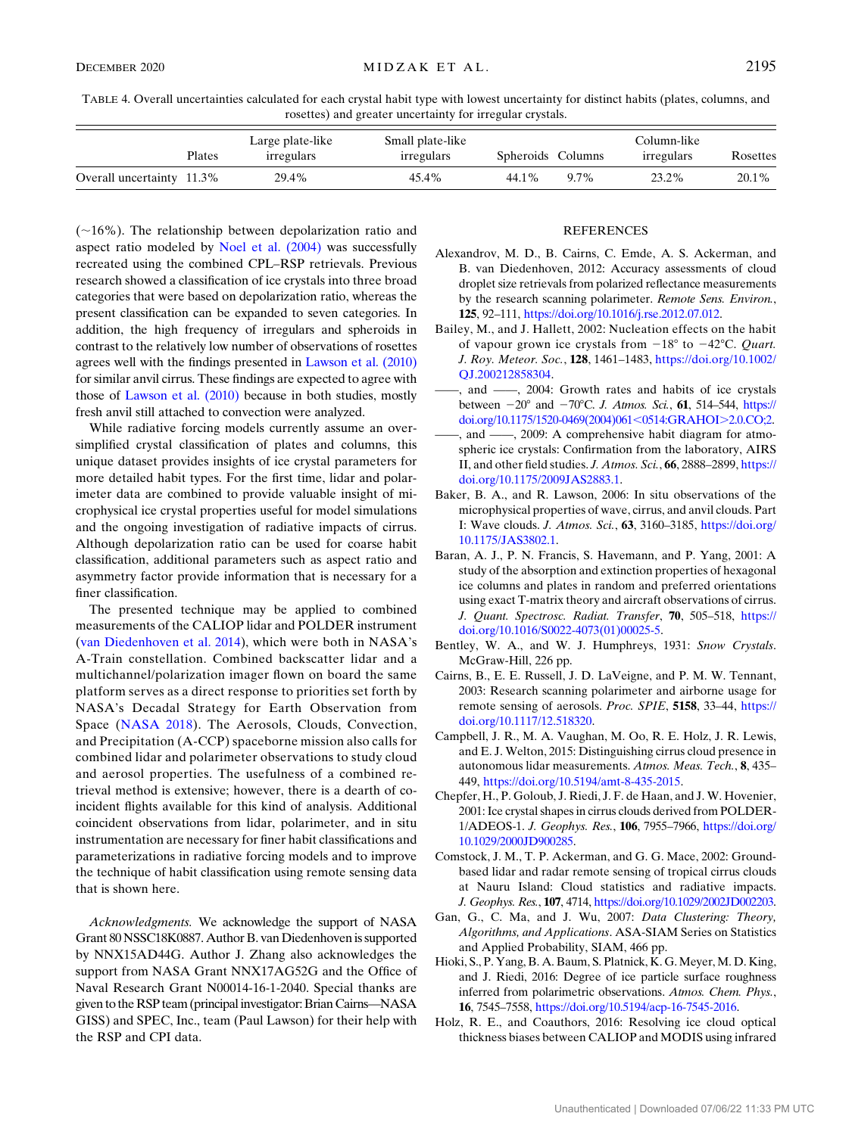<span id="page-10-14"></span>TABLE 4. Overall uncertainties calculated for each crystal habit type with lowest uncertainty for distinct habits (plates, columns, and rosettes) and greater uncertainty for irregular crystals.

|                           |        | Large plate-like | Small plate-like |                   |         | Column-like |          |
|---------------------------|--------|------------------|------------------|-------------------|---------|-------------|----------|
|                           | Plates | irregulars       | irregulars       | Spheroids Columns |         | irregulars  | Rosettes |
| Overall uncertainty 11.3% |        | 29.4%            | 45.4%            | 44.1%             | $9.7\%$ | 23.2%       | 20.1%    |

 $(-16%)$ . The relationship between depolarization ratio and aspect ratio modeled by [Noel et al. \(2004\)](#page-11-8) was successfully recreated using the combined CPL–RSP retrievals. Previous research showed a classification of ice crystals into three broad categories that were based on depolarization ratio, whereas the present classification can be expanded to seven categories. In addition, the high frequency of irregulars and spheroids in contrast to the relatively low number of observations of rosettes agrees well with the findings presented in [Lawson et al. \(2010\)](#page-11-28) for similar anvil cirrus. These findings are expected to agree with those of [Lawson et al. \(2010\)](#page-11-28) because in both studies, mostly fresh anvil still attached to convection were analyzed.

While radiative forcing models currently assume an oversimplified crystal classification of plates and columns, this unique dataset provides insights of ice crystal parameters for more detailed habit types. For the first time, lidar and polarimeter data are combined to provide valuable insight of microphysical ice crystal properties useful for model simulations and the ongoing investigation of radiative impacts of cirrus. Although depolarization ratio can be used for coarse habit classification, additional parameters such as aspect ratio and asymmetry factor provide information that is necessary for a finer classification.

The presented technique may be applied to combined measurements of the CALIOP lidar and POLDER instrument ([van Diedenhoven et al. 2014](#page-11-22)), which were both in NASA's A-Train constellation. Combined backscatter lidar and a multichannel/polarization imager flown on board the same platform serves as a direct response to priorities set forth by NASA's Decadal Strategy for Earth Observation from Space [\(NASA 2018](#page-11-30)). The Aerosols, Clouds, Convection, and Precipitation (A-CCP) spaceborne mission also calls for combined lidar and polarimeter observations to study cloud and aerosol properties. The usefulness of a combined retrieval method is extensive; however, there is a dearth of coincident flights available for this kind of analysis. Additional coincident observations from lidar, polarimeter, and in situ instrumentation are necessary for finer habit classifications and parameterizations in radiative forcing models and to improve the technique of habit classification using remote sensing data that is shown here.

Acknowledgments. We acknowledge the support of NASA Grant 80 NSSC18K0887. Author B. van Diedenhoven is supported by NNX15AD44G. Author J. Zhang also acknowledges the support from NASA Grant NNX17AG52G and the Office of Naval Research Grant N00014-16-1-2040. Special thanks are given to the RSP team (principal investigator: Brian Cairns—NASA GISS) and SPEC, Inc., team (Paul Lawson) for their help with the RSP and CPI data.

### **REFERENCES**

- <span id="page-10-6"></span>Alexandrov, M. D., B. Cairns, C. Emde, A. S. Ackerman, and B. van Diedenhoven, 2012: Accuracy assessments of cloud droplet size retrievals from polarized reflectance measurements by the research scanning polarimeter. Remote Sens. Environ., 125, 92–111, [https://doi.org/10.1016/j.rse.2012.07.012.](https://doi.org/10.1016/j.rse.2012.07.012)
- <span id="page-10-8"></span>Bailey, M., and J. Hallett, 2002: Nucleation effects on the habit of vapour grown ice crystals from  $-18^{\circ}$  to  $-42^{\circ}$ C. *Quart*. J. Roy. Meteor. Soc., 128, 1461–1483, [https://doi.org/10.1002/](https://doi.org/10.1002/QJ.200212858304) [QJ.200212858304.](https://doi.org/10.1002/QJ.200212858304)
- <span id="page-10-3"></span>——, and ——, 2004: Growth rates and habits of ice crystals between  $-20^{\circ}$  and  $-70^{\circ}$ C. J. Atmos. Sci., 61, 514–544, [https://](https://doi.org/10.1175/1520-0469(2004)061<0514:GRAHOI>2.0.CO;2) [doi.org/10.1175/1520-0469\(2004\)061](https://doi.org/10.1175/1520-0469(2004)061<0514:GRAHOI>2.0.CO;2)<0514:GRAHOI>2.0.CO;2.
- <span id="page-10-4"></span>-, and  $\frac{1}{2009}$ : A comprehensive habit diagram for atmospheric ice crystals: Confirmation from the laboratory, AIRS II, and other field studies. J. Atmos. Sci., 66, 2888–2899, [https://](https://doi.org/10.1175/2009JAS2883.1) [doi.org/10.1175/2009JAS2883.1](https://doi.org/10.1175/2009JAS2883.1).
- <span id="page-10-7"></span>Baker, B. A., and R. Lawson, 2006: In situ observations of the microphysical properties of wave, cirrus, and anvil clouds. Part I: Wave clouds. J. Atmos. Sci., 63, 3160–3185, [https://doi.org/](https://doi.org/10.1175/JAS3802.1) [10.1175/JAS3802.1.](https://doi.org/10.1175/JAS3802.1)
- <span id="page-10-2"></span>Baran, A. J., P. N. Francis, S. Havemann, and P. Yang, 2001: A study of the absorption and extinction properties of hexagonal ice columns and plates in random and preferred orientations using exact T-matrix theory and aircraft observations of cirrus. J. Quant. Spectrosc. Radiat. Transfer, 70, 505–518, [https://](https://doi.org/10.1016/S0022-4073(01)00025-5) [doi.org/10.1016/S0022-4073\(01\)00025-5.](https://doi.org/10.1016/S0022-4073(01)00025-5)
- <span id="page-10-9"></span>Bentley, W. A., and W. J. Humphreys, 1931: Snow Crystals. McGraw-Hill, 226 pp.
- <span id="page-10-5"></span>Cairns, B., E. E. Russell, J. D. LaVeigne, and P. M. W. Tennant, 2003: Research scanning polarimeter and airborne usage for remote sensing of aerosols. Proc. SPIE, 5158, 33–44, [https://](https://doi.org/10.1117/12.518320) [doi.org/10.1117/12.518320.](https://doi.org/10.1117/12.518320)
- <span id="page-10-0"></span>Campbell, J. R., M. A. Vaughan, M. Oo, R. E. Holz, J. R. Lewis, and E. J. Welton, 2015: Distinguishing cirrus cloud presence in autonomous lidar measurements. Atmos. Meas. Tech., 8, 435– 449, [https://doi.org/10.5194/amt-8-435-2015.](https://doi.org/10.5194/amt-8-435-2015)
- <span id="page-10-11"></span>Chepfer, H., P. Goloub, J. Riedi, J. F. de Haan, and J. W. Hovenier, 2001: Ice crystal shapes in cirrus clouds derived from POLDER-1/ADEOS-1. J. Geophys. Res., 106, 7955–7966, [https://doi.org/](https://doi.org/10.1029/2000JD900285) [10.1029/2000JD900285](https://doi.org/10.1029/2000JD900285).
- <span id="page-10-10"></span>Comstock, J. M., T. P. Ackerman, and G. G. Mace, 2002: Groundbased lidar and radar remote sensing of tropical cirrus clouds at Nauru Island: Cloud statistics and radiative impacts. J. Geophys. Res., 107, 4714, [https://doi.org/10.1029/2002JD002203.](https://doi.org/10.1029/2002JD002203)
- <span id="page-10-13"></span>Gan, G., C. Ma, and J. Wu, 2007: Data Clustering: Theory, Algorithms, and Applications. ASA-SIAM Series on Statistics and Applied Probability, SIAM, 466 pp.
- <span id="page-10-12"></span>Hioki, S., P. Yang, B. A. Baum, S. Platnick, K. G. Meyer, M. D. King, and J. Riedi, 2016: Degree of ice particle surface roughness inferred from polarimetric observations. Atmos. Chem. Phys., 16, 7545–7558, <https://doi.org/10.5194/acp-16-7545-2016>.
- <span id="page-10-1"></span>Holz, R. E., and Coauthors, 2016: Resolving ice cloud optical thickness biases between CALIOP and MODIS using infrared